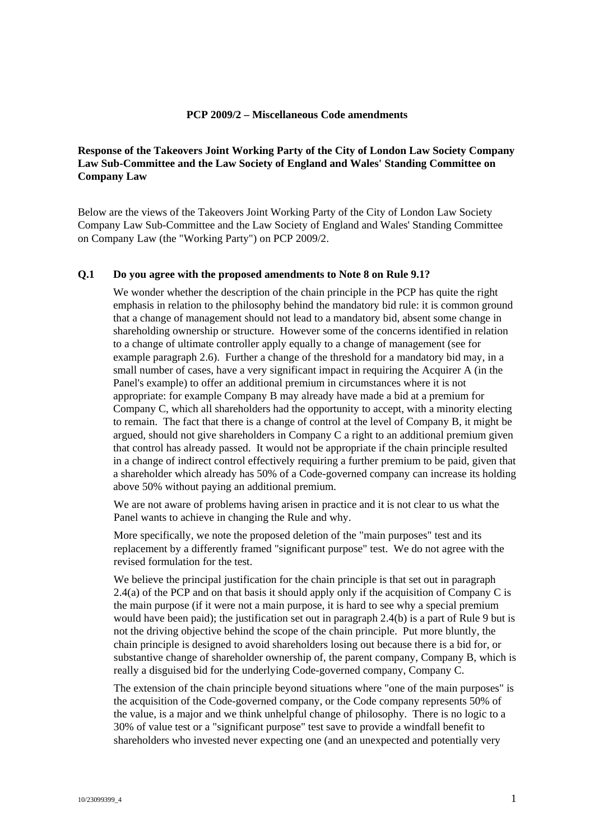### **PCP 2009/2 – Miscellaneous Code amendments**

# **Response of the Takeovers Joint Working Party of the City of London Law Society Company Law Sub-Committee and the Law Society of England and Wales' Standing Committee on Company Law**

Below are the views of the Takeovers Joint Working Party of the City of London Law Society Company Law Sub-Committee and the Law Society of England and Wales' Standing Committee on Company Law (the "Working Party") on PCP 2009/2.

#### **Q.1 Do you agree with the proposed amendments to Note 8 on Rule 9.1?**

We wonder whether the description of the chain principle in the PCP has quite the right emphasis in relation to the philosophy behind the mandatory bid rule: it is common ground that a change of management should not lead to a mandatory bid, absent some change in shareholding ownership or structure. However some of the concerns identified in relation to a change of ultimate controller apply equally to a change of management (see for example paragraph 2.6). Further a change of the threshold for a mandatory bid may, in a small number of cases, have a very significant impact in requiring the Acquirer A (in the Panel's example) to offer an additional premium in circumstances where it is not appropriate: for example Company B may already have made a bid at a premium for Company C, which all shareholders had the opportunity to accept, with a minority electing to remain. The fact that there is a change of control at the level of Company B, it might be argued, should not give shareholders in Company C a right to an additional premium given that control has already passed. It would not be appropriate if the chain principle resulted in a change of indirect control effectively requiring a further premium to be paid, given that a shareholder which already has 50% of a Code-governed company can increase its holding above 50% without paying an additional premium.

We are not aware of problems having arisen in practice and it is not clear to us what the Panel wants to achieve in changing the Rule and why.

More specifically, we note the proposed deletion of the "main purposes" test and its replacement by a differently framed "significant purpose" test. We do not agree with the revised formulation for the test.

We believe the principal justification for the chain principle is that set out in paragraph 2.4(a) of the PCP and on that basis it should apply only if the acquisition of Company C is the main purpose (if it were not a main purpose, it is hard to see why a special premium would have been paid); the justification set out in paragraph 2.4(b) is a part of Rule 9 but is not the driving objective behind the scope of the chain principle. Put more bluntly, the chain principle is designed to avoid shareholders losing out because there is a bid for, or substantive change of shareholder ownership of, the parent company, Company B, which is really a disguised bid for the underlying Code-governed company, Company C.

The extension of the chain principle beyond situations where "one of the main purposes" is the acquisition of the Code-governed company, or the Code company represents 50% of the value, is a major and we think unhelpful change of philosophy. There is no logic to a 30% of value test or a "significant purpose" test save to provide a windfall benefit to shareholders who invested never expecting one (and an unexpected and potentially very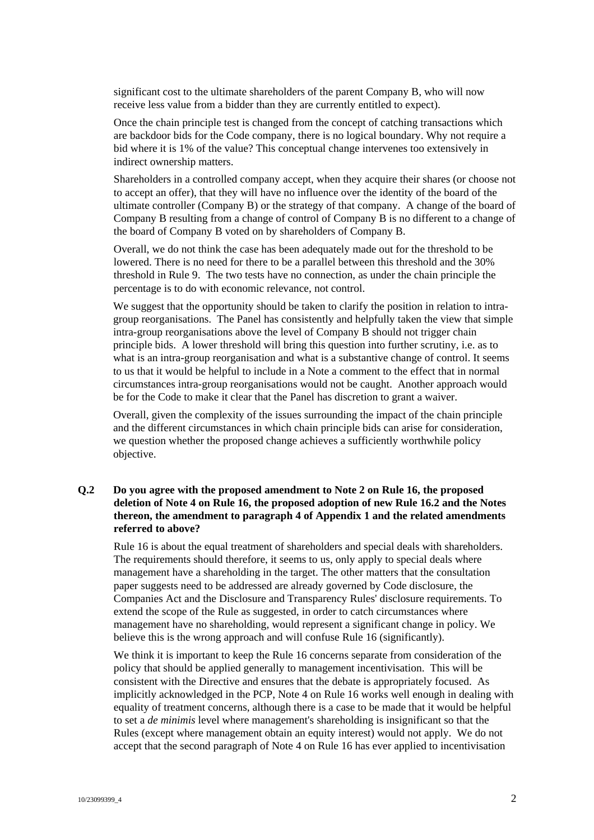significant cost to the ultimate shareholders of the parent Company B, who will now receive less value from a bidder than they are currently entitled to expect).

Once the chain principle test is changed from the concept of catching transactions which are backdoor bids for the Code company, there is no logical boundary. Why not require a bid where it is 1% of the value? This conceptual change intervenes too extensively in indirect ownership matters.

Shareholders in a controlled company accept, when they acquire their shares (or choose not to accept an offer), that they will have no influence over the identity of the board of the ultimate controller (Company B) or the strategy of that company. A change of the board of Company B resulting from a change of control of Company B is no different to a change of the board of Company B voted on by shareholders of Company B.

Overall, we do not think the case has been adequately made out for the threshold to be lowered. There is no need for there to be a parallel between this threshold and the 30% threshold in Rule 9. The two tests have no connection, as under the chain principle the percentage is to do with economic relevance, not control.

We suggest that the opportunity should be taken to clarify the position in relation to intragroup reorganisations. The Panel has consistently and helpfully taken the view that simple intra-group reorganisations above the level of Company B should not trigger chain principle bids. A lower threshold will bring this question into further scrutiny, i.e. as to what is an intra-group reorganisation and what is a substantive change of control. It seems to us that it would be helpful to include in a Note a comment to the effect that in normal circumstances intra-group reorganisations would not be caught. Another approach would be for the Code to make it clear that the Panel has discretion to grant a waiver.

Overall, given the complexity of the issues surrounding the impact of the chain principle and the different circumstances in which chain principle bids can arise for consideration, we question whether the proposed change achieves a sufficiently worthwhile policy objective.

# **Q.2 Do you agree with the proposed amendment to Note 2 on Rule 16, the proposed deletion of Note 4 on Rule 16, the proposed adoption of new Rule 16.2 and the Notes thereon, the amendment to paragraph 4 of Appendix 1 and the related amendments referred to above?**

Rule 16 is about the equal treatment of shareholders and special deals with shareholders. The requirements should therefore, it seems to us, only apply to special deals where management have a shareholding in the target. The other matters that the consultation paper suggests need to be addressed are already governed by Code disclosure, the Companies Act and the Disclosure and Transparency Rules' disclosure requirements. To extend the scope of the Rule as suggested, in order to catch circumstances where management have no shareholding, would represent a significant change in policy. We believe this is the wrong approach and will confuse Rule 16 (significantly).

We think it is important to keep the Rule 16 concerns separate from consideration of the policy that should be applied generally to management incentivisation. This will be consistent with the Directive and ensures that the debate is appropriately focused. As implicitly acknowledged in the PCP, Note 4 on Rule 16 works well enough in dealing with equality of treatment concerns, although there is a case to be made that it would be helpful to set a *de minimis* level where management's shareholding is insignificant so that the Rules (except where management obtain an equity interest) would not apply. We do not accept that the second paragraph of Note 4 on Rule 16 has ever applied to incentivisation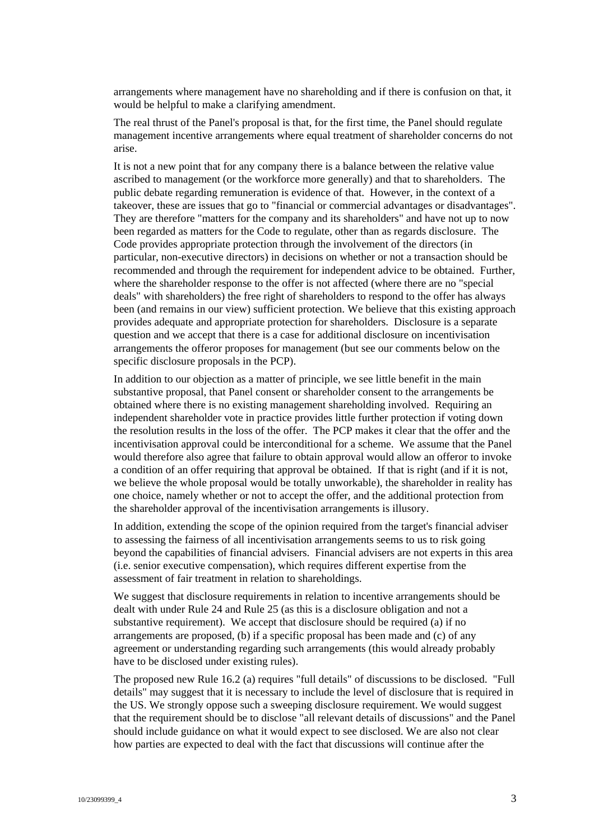arrangements where management have no shareholding and if there is confusion on that, it would be helpful to make a clarifying amendment.

The real thrust of the Panel's proposal is that, for the first time, the Panel should regulate management incentive arrangements where equal treatment of shareholder concerns do not arise.

It is not a new point that for any company there is a balance between the relative value ascribed to management (or the workforce more generally) and that to shareholders. The public debate regarding remuneration is evidence of that. However, in the context of a takeover, these are issues that go to "financial or commercial advantages or disadvantages". They are therefore "matters for the company and its shareholders" and have not up to now been regarded as matters for the Code to regulate, other than as regards disclosure. The Code provides appropriate protection through the involvement of the directors (in particular, non-executive directors) in decisions on whether or not a transaction should be recommended and through the requirement for independent advice to be obtained. Further, where the shareholder response to the offer is not affected (where there are no "special deals" with shareholders) the free right of shareholders to respond to the offer has always been (and remains in our view) sufficient protection. We believe that this existing approach provides adequate and appropriate protection for shareholders. Disclosure is a separate question and we accept that there is a case for additional disclosure on incentivisation arrangements the offeror proposes for management (but see our comments below on the specific disclosure proposals in the PCP).

In addition to our objection as a matter of principle, we see little benefit in the main substantive proposal, that Panel consent or shareholder consent to the arrangements be obtained where there is no existing management shareholding involved. Requiring an independent shareholder vote in practice provides little further protection if voting down the resolution results in the loss of the offer. The PCP makes it clear that the offer and the incentivisation approval could be interconditional for a scheme. We assume that the Panel would therefore also agree that failure to obtain approval would allow an offeror to invoke a condition of an offer requiring that approval be obtained. If that is right (and if it is not, we believe the whole proposal would be totally unworkable), the shareholder in reality has one choice, namely whether or not to accept the offer, and the additional protection from the shareholder approval of the incentivisation arrangements is illusory.

In addition, extending the scope of the opinion required from the target's financial adviser to assessing the fairness of all incentivisation arrangements seems to us to risk going beyond the capabilities of financial advisers. Financial advisers are not experts in this area (i.e. senior executive compensation), which requires different expertise from the assessment of fair treatment in relation to shareholdings.

We suggest that disclosure requirements in relation to incentive arrangements should be dealt with under Rule 24 and Rule 25 (as this is a disclosure obligation and not a substantive requirement). We accept that disclosure should be required (a) if no arrangements are proposed, (b) if a specific proposal has been made and (c) of any agreement or understanding regarding such arrangements (this would already probably have to be disclosed under existing rules).

The proposed new Rule 16.2 (a) requires "full details" of discussions to be disclosed. "Full details" may suggest that it is necessary to include the level of disclosure that is required in the US. We strongly oppose such a sweeping disclosure requirement. We would suggest that the requirement should be to disclose "all relevant details of discussions" and the Panel should include guidance on what it would expect to see disclosed. We are also not clear how parties are expected to deal with the fact that discussions will continue after the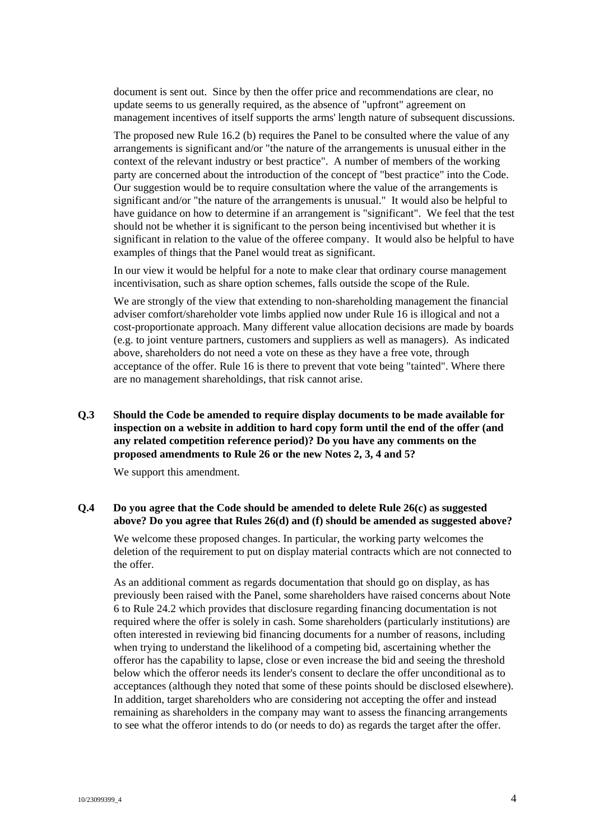document is sent out. Since by then the offer price and recommendations are clear, no update seems to us generally required, as the absence of "upfront" agreement on management incentives of itself supports the arms' length nature of subsequent discussions.

The proposed new Rule 16.2 (b) requires the Panel to be consulted where the value of any arrangements is significant and/or "the nature of the arrangements is unusual either in the context of the relevant industry or best practice". A number of members of the working party are concerned about the introduction of the concept of "best practice" into the Code. Our suggestion would be to require consultation where the value of the arrangements is significant and/or "the nature of the arrangements is unusual." It would also be helpful to have guidance on how to determine if an arrangement is "significant". We feel that the test should not be whether it is significant to the person being incentivised but whether it is significant in relation to the value of the offeree company. It would also be helpful to have examples of things that the Panel would treat as significant.

In our view it would be helpful for a note to make clear that ordinary course management incentivisation, such as share option schemes, falls outside the scope of the Rule.

We are strongly of the view that extending to non-shareholding management the financial adviser comfort/shareholder vote limbs applied now under Rule 16 is illogical and not a cost-proportionate approach. Many different value allocation decisions are made by boards (e.g. to joint venture partners, customers and suppliers as well as managers). As indicated above, shareholders do not need a vote on these as they have a free vote, through acceptance of the offer. Rule 16 is there to prevent that vote being "tainted". Where there are no management shareholdings, that risk cannot arise.

**Q.3 Should the Code be amended to require display documents to be made available for inspection on a website in addition to hard copy form until the end of the offer (and any related competition reference period)? Do you have any comments on the proposed amendments to Rule 26 or the new Notes 2, 3, 4 and 5?** 

We support this amendment.

## **Q.4 Do you agree that the Code should be amended to delete Rule 26(c) as suggested above? Do you agree that Rules 26(d) and (f) should be amended as suggested above?**

We welcome these proposed changes. In particular, the working party welcomes the deletion of the requirement to put on display material contracts which are not connected to the offer.

As an additional comment as regards documentation that should go on display, as has previously been raised with the Panel, some shareholders have raised concerns about Note 6 to Rule 24.2 which provides that disclosure regarding financing documentation is not required where the offer is solely in cash. Some shareholders (particularly institutions) are often interested in reviewing bid financing documents for a number of reasons, including when trying to understand the likelihood of a competing bid, ascertaining whether the offeror has the capability to lapse, close or even increase the bid and seeing the threshold below which the offeror needs its lender's consent to declare the offer unconditional as to acceptances (although they noted that some of these points should be disclosed elsewhere). In addition, target shareholders who are considering not accepting the offer and instead remaining as shareholders in the company may want to assess the financing arrangements to see what the offeror intends to do (or needs to do) as regards the target after the offer.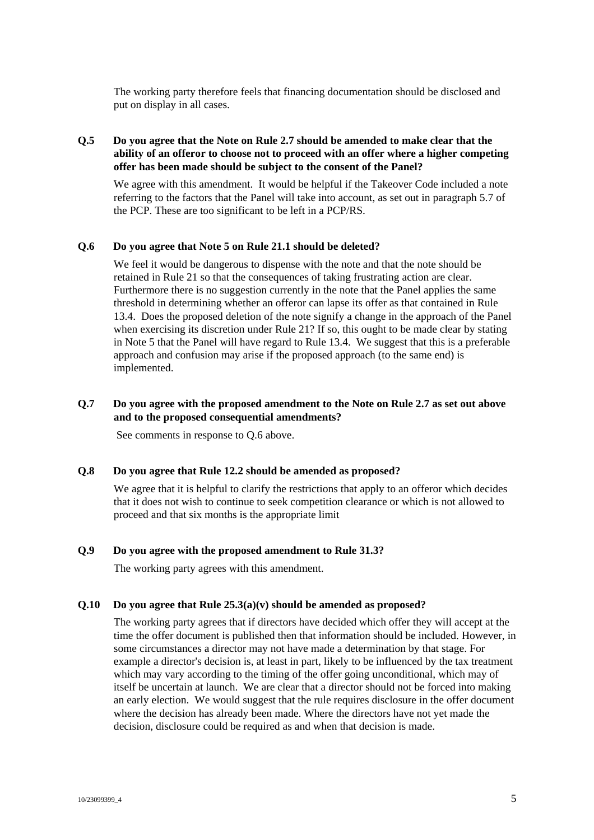The working party therefore feels that financing documentation should be disclosed and put on display in all cases.

# **Q.5 Do you agree that the Note on Rule 2.7 should be amended to make clear that the ability of an offeror to choose not to proceed with an offer where a higher competing offer has been made should be subject to the consent of the Panel?**

We agree with this amendment. It would be helpful if the Takeover Code included a note referring to the factors that the Panel will take into account, as set out in paragraph 5.7 of the PCP. These are too significant to be left in a PCP/RS.

## **Q.6 Do you agree that Note 5 on Rule 21.1 should be deleted?**

We feel it would be dangerous to dispense with the note and that the note should be retained in Rule 21 so that the consequences of taking frustrating action are clear. Furthermore there is no suggestion currently in the note that the Panel applies the same threshold in determining whether an offeror can lapse its offer as that contained in Rule 13.4. Does the proposed deletion of the note signify a change in the approach of the Panel when exercising its discretion under Rule 21? If so, this ought to be made clear by stating in Note 5 that the Panel will have regard to Rule 13.4. We suggest that this is a preferable approach and confusion may arise if the proposed approach (to the same end) is implemented.

## **Q.7 Do you agree with the proposed amendment to the Note on Rule 2.7 as set out above and to the proposed consequential amendments?**

See comments in response to Q.6 above.

#### **Q.8 Do you agree that Rule 12.2 should be amended as proposed?**

We agree that it is helpful to clarify the restrictions that apply to an offeror which decides that it does not wish to continue to seek competition clearance or which is not allowed to proceed and that six months is the appropriate limit

### **Q.9 Do you agree with the proposed amendment to Rule 31.3?**

The working party agrees with this amendment.

#### **Q.10 Do you agree that Rule 25.3(a)(v) should be amended as proposed?**

The working party agrees that if directors have decided which offer they will accept at the time the offer document is published then that information should be included. However, in some circumstances a director may not have made a determination by that stage. For example a director's decision is, at least in part, likely to be influenced by the tax treatment which may vary according to the timing of the offer going unconditional, which may of itself be uncertain at launch. We are clear that a director should not be forced into making an early election. We would suggest that the rule requires disclosure in the offer document where the decision has already been made. Where the directors have not yet made the decision, disclosure could be required as and when that decision is made.